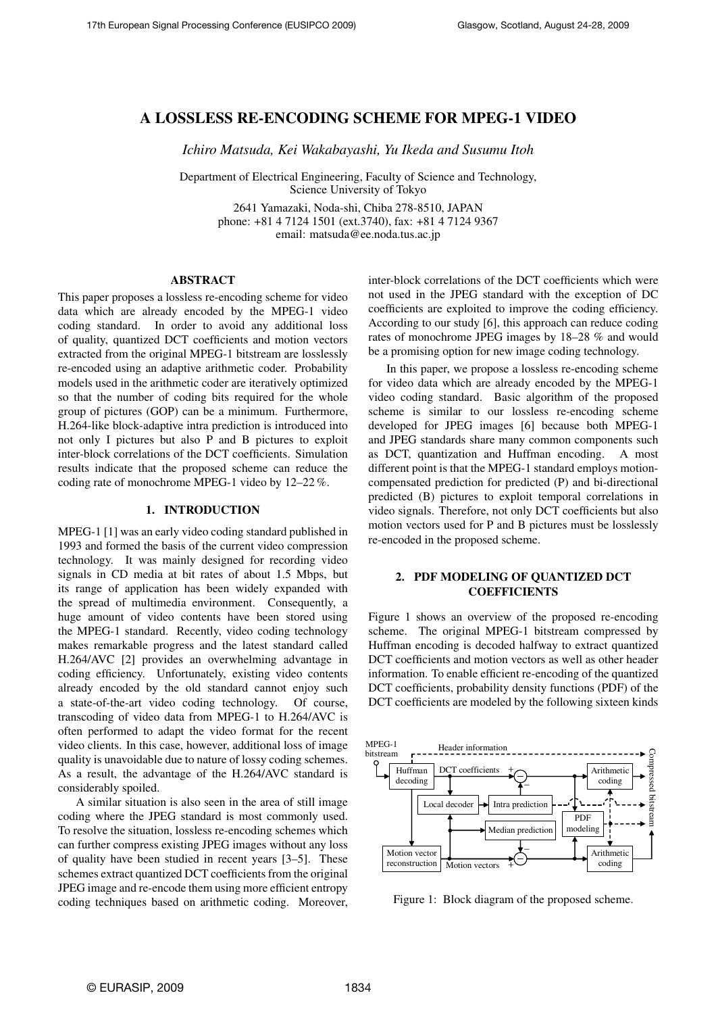# A LOSSLESS RE-ENCODING SCHEME FOR MPEG-1 VIDEO

*Ichiro Matsuda, Kei Wakabayashi, Yu Ikeda and Susumu Itoh*

Department of Electrical Engineering, Faculty of Science and Technology, Science University of Tokyo

> 2641 Yamazaki, Noda-shi, Chiba 278-8510, JAPAN phone: +81 4 7124 1501 (ext.3740), fax: +81 4 7124 9367 email: matsuda@ee.noda.tus.ac.jp

### ABSTRACT

This paper proposes a lossless re-encoding scheme for video data which are already encoded by the MPEG-1 video coding standard. In order to avoid any additional loss of quality, quantized DCT coefficients and motion vectors extracted from the original MPEG-1 bitstream are losslessly re-encoded using an adaptive arithmetic coder. Probability models used in the arithmetic coder are iteratively optimized so that the number of coding bits required for the whole group of pictures (GOP) can be a minimum. Furthermore, H.264-like block-adaptive intra prediction is introduced into not only I pictures but also P and B pictures to exploit inter-block correlations of the DCT coefficients. Simulation results indicate that the proposed scheme can reduce the coding rate of monochrome MPEG-1 video by 12–22 %.

#### 1. INTRODUCTION

MPEG-1 [1] was an early video coding standard published in 1993 and formed the basis of the current video compression technology. It was mainly designed for recording video signals in CD media at bit rates of about 1.5 Mbps, but its range of application has been widely expanded with the spread of multimedia environment. Consequently, a huge amount of video contents have been stored using the MPEG-1 standard. Recently, video coding technology makes remarkable progress and the latest standard called H.264/AVC [2] provides an overwhelming advantage in coding efficiency. Unfortunately, existing video contents already encoded by the old standard cannot enjoy such a state-of-the-art video coding technology. Of course, transcoding of video data from MPEG-1 to H.264/AVC is often performed to adapt the video format for the recent video clients. In this case, however, additional loss of image quality is unavoidable due to nature of lossy coding schemes. As a result, the advantage of the H.264/AVC standard is considerably spoiled.

A similar situation is also seen in the area of still image coding where the JPEG standard is most commonly used. To resolve the situation, lossless re-encoding schemes which can further compress existing JPEG images without any loss of quality have been studied in recent years [3–5]. These schemes extract quantized DCT coefficients from the original JPEG image and re-encode them using more efficient entropy coding techniques based on arithmetic coding. Moreover, inter-block correlations of the DCT coefficients which were not used in the JPEG standard with the exception of DC coefficients are exploited to improve the coding efficiency. According to our study [6], this approach can reduce coding rates of monochrome JPEG images by 18–28 % and would be a promising option for new image coding technology.

In this paper, we propose a lossless re-encoding scheme for video data which are already encoded by the MPEG-1 video coding standard. Basic algorithm of the proposed scheme is similar to our lossless re-encoding scheme developed for JPEG images [6] because both MPEG-1 and JPEG standards share many common components such as DCT, quantization and Huffman encoding. A most different point is that the MPEG-1 standard employs motioncompensated prediction for predicted (P) and bi-directional predicted (B) pictures to exploit temporal correlations in video signals. Therefore, not only DCT coefficients but also motion vectors used for P and B pictures must be losslessly re-encoded in the proposed scheme.

### 2. PDF MODELING OF QUANTIZED DCT **COEFFICIENTS**

Figure 1 shows an overview of the proposed re-encoding scheme. The original MPEG-1 bitstream compressed by Huffman encoding is decoded halfway to extract quantized DCT coefficients and motion vectors as well as other header information. To enable efficient re-encoding of the quantized DCT coefficients, probability density functions (PDF) of the DCT coefficients are modeled by the following sixteen kinds



Figure 1: Block diagram of the proposed scheme.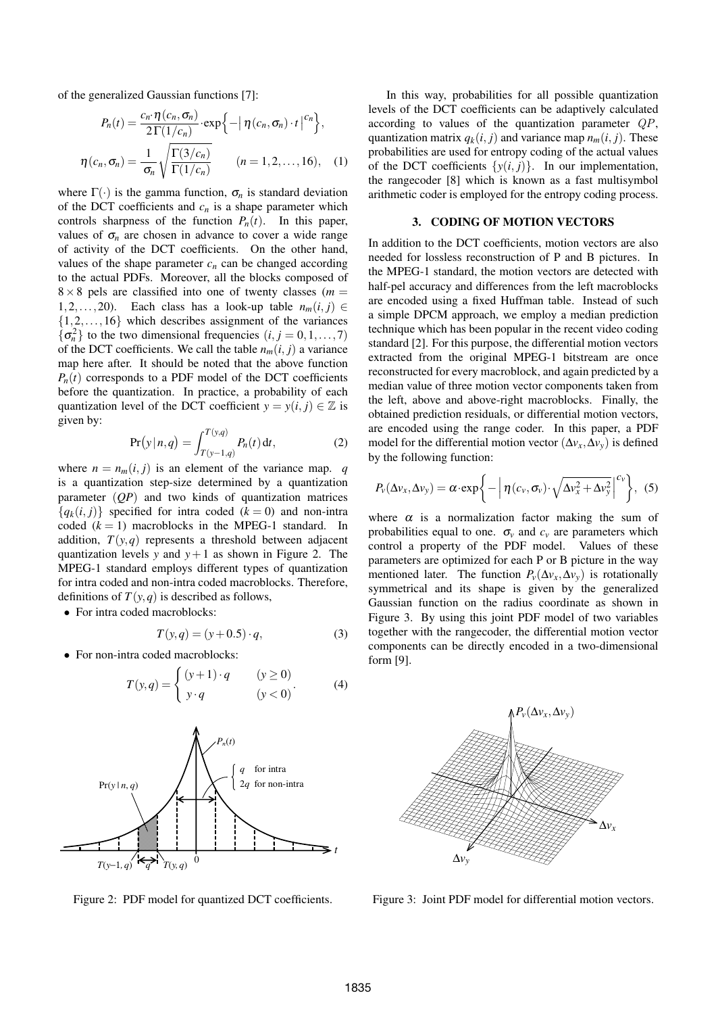of the generalized Gaussian functions [7]:

$$
P_n(t) = \frac{c_n \cdot \eta(c_n, \sigma_n)}{2\Gamma(1/c_n)} \cdot \exp\left\{-\left|\eta(c_n, \sigma_n)\cdot t\right|^{c_n}\right\},\,
$$

$$
\eta(c_n, \sigma_n) = \frac{1}{\sigma_n} \sqrt{\frac{\Gamma(3/c_n)}{\Gamma(1/c_n)}} \qquad (n = 1, 2, \dots, 16), \quad (1)
$$

where  $\Gamma(\cdot)$  is the gamma function,  $\sigma_n$  is standard deviation of the DCT coefficients and  $c_n$  is a shape parameter which controls sharpness of the function  $P_n(t)$ . In this paper, values of  $\sigma_n$  are chosen in advance to cover a wide range of activity of the DCT coefficients. On the other hand, values of the shape parameter  $c_n$  can be changed according to the actual PDFs. Moreover, all the blocks composed of  $8 \times 8$  pels are classified into one of twenty classes ( $m =$ 1*,*2*,...,*20). Each class has a look-up table *nm*(*i, j*) *∈ {*1*,*2*,...,*16*}* which describes assignment of the variances  $\{\sigma_n^2\}$  to the two dimensional frequencies  $(i, j = 0, 1, \ldots, 7)$ of the DCT coefficients. We call the table  $n_m(i, j)$  a variance map here after. It should be noted that the above function  $P_n(t)$  corresponds to a PDF model of the DCT coefficients before the quantization. In practice, a probability of each quantization level of the DCT coefficient  $y = y(i, j) \in \mathbb{Z}$  is given by:

$$
Pr(y | n, q) = \int_{T(y-1,q)}^{T(y,q)} P_n(t) dt,
$$
 (2)

where  $n = n_m(i, j)$  is an element of the variance map. *q* is a quantization step-size determined by a quantization parameter (*QP*) and two kinds of quantization matrices  ${q_k(i, j)}$  specified for intra coded ( $k = 0$ ) and non-intra coded  $(k = 1)$  macroblocks in the MPEG-1 standard. In addition,  $T(y,q)$  represents a threshold between adjacent quantization levels *y* and  $y+1$  as shown in Figure 2. The MPEG-1 standard employs different types of quantization for intra coded and non-intra coded macroblocks. Therefore, definitions of  $T(y, q)$  is described as follows,

*•* For intra coded macroblocks:

$$
T(y,q) = (y+0.5) \cdot q,
$$
 (3)

 $y \cdot q$   $(y < 0)$ 

*•* For non-intra coded macroblocks:



 $T(y,q) = \begin{cases} (y+1) \cdot q & (y \ge 0) \\ 0 & (y = 0) \end{cases}$ 

Figure 2: PDF model for quantized DCT coefficients.

In this way, probabilities for all possible quantization levels of the DCT coefficients can be adaptively calculated according to values of the quantization parameter *QP*, quantization matrix  $q_k(i, j)$  and variance map  $n_m(i, j)$ . These probabilities are used for entropy coding of the actual values of the DCT coefficients  $\{y(i, j)\}$ . In our implementation, the rangecoder [8] which is known as a fast multisymbol arithmetic coder is employed for the entropy coding process.

#### 3. CODING OF MOTION VECTORS

In addition to the DCT coefficients, motion vectors are also needed for lossless reconstruction of P and B pictures. In the MPEG-1 standard, the motion vectors are detected with half-pel accuracy and differences from the left macroblocks are encoded using a fixed Huffman table. Instead of such a simple DPCM approach, we employ a median prediction technique which has been popular in the recent video coding standard [2]. For this purpose, the differential motion vectors extracted from the original MPEG-1 bitstream are once reconstructed for every macroblock, and again predicted by a median value of three motion vector components taken from the left, above and above-right macroblocks. Finally, the obtained prediction residuals, or differential motion vectors, are encoded using the range coder. In this paper, a PDF model for the differential motion vector ( $\Delta v_x, \Delta v_y$ ) is defined by the following function:

$$
P_{\nu}(\Delta v_x, \Delta v_y) = \alpha \cdot \exp\bigg\{-\bigg|\,\eta\,(c_{\nu}, \sigma_{\nu}) \cdot \sqrt{\Delta v_x^2 + \Delta v_y^2}\bigg|^{c_{\nu}}\bigg\},\,\,(5)
$$

where  $\alpha$  is a normalization factor making the sum of probabilities equal to one.  $\sigma_v$  and  $c_v$  are parameters which control a property of the PDF model. Values of these parameters are optimized for each P or B picture in the way mentioned later. The function  $P_v(\Delta v_x, \Delta v_y)$  is rotationally symmetrical and its shape is given by the generalized Gaussian function on the radius coordinate as shown in Figure 3. By using this joint PDF model of two variables together with the rangecoder, the differential motion vector components can be directly encoded in a two-dimensional form [9].



Figure 3: Joint PDF model for differential motion vectors.

*.* (4)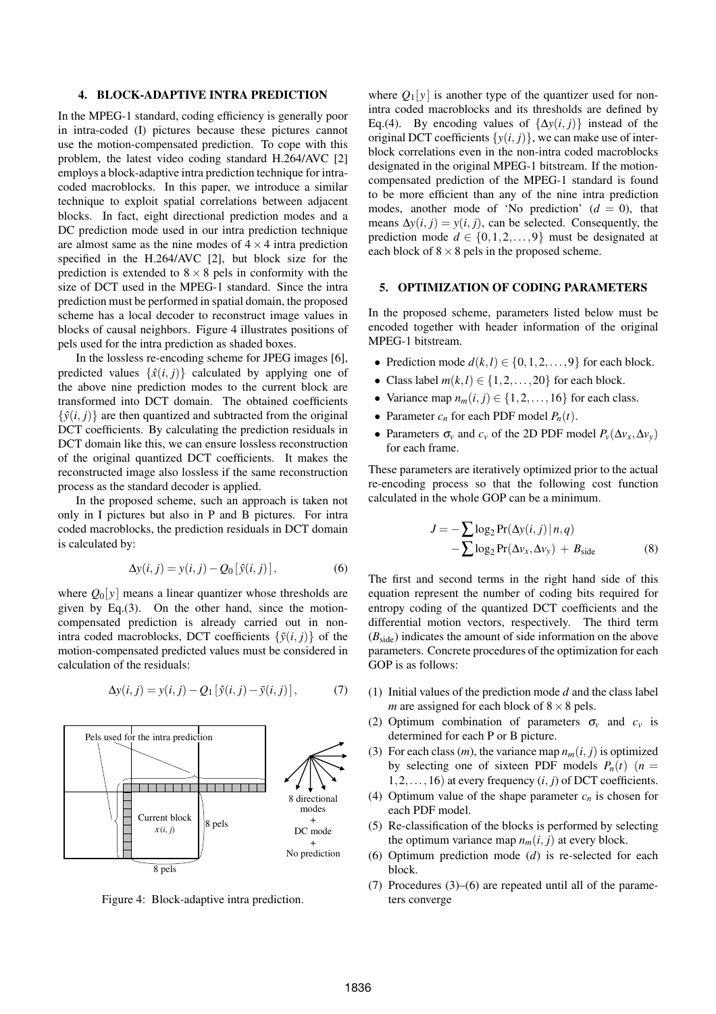#### 4. BLOCK-ADAPTIVE INTRA PREDICTION

In the MPEG-1 standard, coding efficiency is generally poor in intra-coded (I) pictures because these pictures cannot use the motion-compensated prediction. To cope with this problem, the latest video coding standard H.264/AVC [2] employs a block-adaptive intra prediction technique for intracoded macroblocks. In this paper, we introduce a similar technique to exploit spatial correlations between adjacent blocks. In fact, eight directional prediction modes and a DC prediction mode used in our intra prediction technique are almost same as the nine modes of  $4 \times 4$  intra prediction specified in the H.264/AVC [2], but block size for the prediction is extended to  $8 \times 8$  pels in conformity with the size of DCT used in the MPEG-1 standard. Since the intra prediction must be performed in spatial domain, the proposed scheme has a local decoder to reconstruct image values in blocks of causal neighbors. Figure 4 illustrates positions of pels used for the intra prediction as shaded boxes.

In the lossless re-encoding scheme for JPEG images [6], predicted values  $\{\hat{x}(i, j)\}$  calculated by applying one of the above nine prediction modes to the current block are transformed into DCT domain. The obtained coefficients  $\{\hat{v}(i, j)\}\$ are then quantized and subtracted from the original DCT coefficients. By calculating the prediction residuals in DCT domain like this, we can ensure lossless reconstruction of the original quantized DCT coefficients. It makes the reconstructed image also lossless if the same reconstruction process as the standard decoder is applied.

In the proposed scheme, such an approach is taken not only in I pictures but also in P and B pictures. For intra coded macroblocks, the prediction residuals in DCT domain is calculated by:

$$
\Delta y(i, j) = y(i, j) - Q_0[\hat{y}(i, j)],\tag{6}
$$

where  $Q_0[y]$  means a linear quantizer whose thresholds are given by Eq.(3). On the other hand, since the motioncompensated prediction is already carried out in nonintra coded macroblocks, DCT coefficients  $\{\tilde{y}(i, j)\}$  of the motion-compensated predicted values must be considered in calculation of the residuals:

$$
\Delta y(i,j) = y(i,j) - Q_1 \left[ \hat{y}(i,j) - \tilde{y}(i,j) \right],\tag{7}
$$



Figure 4: Block-adaptive intra prediction.

where  $Q_1[y]$  is another type of the quantizer used for nonintra coded macroblocks and its thresholds are defined by Eq.(4). By encoding values of  $\{\Delta y(i, j)\}\$ instead of the original DCT coefficients  $\{y(i, j)\}\)$ , we can make use of interblock correlations even in the non-intra coded macroblocks designated in the original MPEG-1 bitstream. If the motioncompensated prediction of the MPEG-1 standard is found to be more efficient than any of the nine intra prediction modes, another mode of 'No prediction'  $(d = 0)$ , that means  $\Delta y(i, j) = y(i, j)$ , can be selected. Consequently, the prediction mode  $d \in \{0, 1, 2, \ldots, 9\}$  must be designated at each block of  $8 \times 8$  pels in the proposed scheme.

# 5. OPTIMIZATION OF CODING PARAMETERS

In the proposed scheme, parameters listed below must be encoded together with header information of the original MPEG-1 bitstream.

- Prediction mode  $d(k, l) \in \{0, 1, 2, \ldots, 9\}$  for each block.
- Class label  $m(k, l) \in \{1, 2, \ldots, 20\}$  for each block.
- Variance map  $n_m(i, j) \in \{1, 2, \ldots, 16\}$  for each class.
- Parameter  $c_n$  for each PDF model  $P_n(t)$ .
- Parameters  $\sigma_v$  and  $c_v$  of the 2D PDF model  $P_v(\Delta v_x, \Delta v_y)$ for each frame.

These parameters are iteratively optimized prior to the actual re-encoding process so that the following cost function calculated in the whole GOP can be a minimum.

$$
J = -\sum \log_2 \Pr(\Delta y(i, j) | n, q)
$$
  
-
$$
\sum \log_2 \Pr(\Delta v_x, \Delta v_y) + B_{\text{side}}
$$
 (8)

The first and second terms in the right hand side of this equation represent the number of coding bits required for entropy coding of the quantized DCT coefficients and the differential motion vectors, respectively. The third term  $(B<sub>side</sub>)$  indicates the amount of side information on the above parameters. Concrete procedures of the optimization for each GOP is as follows:

- (1) Initial values of the prediction mode *d* and the class label *m* are assigned for each block of 8*×*8 pels.
- (2) Optimum combination of parameters  $\sigma_v$  and  $c_v$  is determined for each P or B picture.
- (3) For each class  $(m)$ , the variance map  $n_m(i, j)$  is optimized by selecting one of sixteen PDF models  $P_n(t)$  ( $n =$  $1, 2, \ldots, 16$  at every frequency  $(i, j)$  of DCT coefficients.
- (4) Optimum value of the shape parameter  $c_n$  is chosen for each PDF model.
- (5) Re-classification of the blocks is performed by selecting the optimum variance map  $n_m(i, j)$  at every block.
- (6) Optimum prediction mode (*d*) is re-selected for each block.
- (7) Procedures (3)–(6) are repeated until all of the parameters converge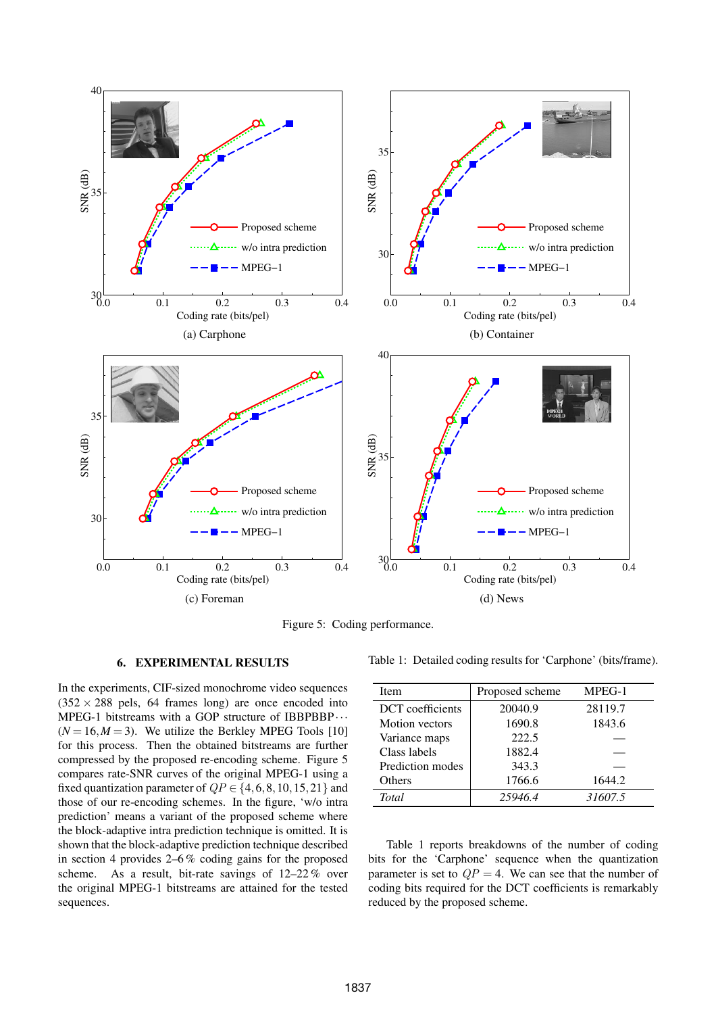

Figure 5: Coding performance.

# 6. EXPERIMENTAL RESULTS

In the experiments, CIF-sized monochrome video sequences  $(352 \times 288 \text{ pels}, 64 \text{ frames long})$  are once encoded into MPEG-1 bitstreams with a GOP structure of IBBPBBP*···*  $(N = 16, M = 3)$ . We utilize the Berkley MPEG Tools [10] for this process. Then the obtained bitstreams are further compressed by the proposed re-encoding scheme. Figure 5 compares rate-SNR curves of the original MPEG-1 using a fixed quantization parameter of  $QP \in \{4, 6, 8, 10, 15, 21\}$  and those of our re-encoding schemes. In the figure, 'w/o intra prediction' means a variant of the proposed scheme where the block-adaptive intra prediction technique is omitted. It is shown that the block-adaptive prediction technique described in section 4 provides 2–6 % coding gains for the proposed scheme. As a result, bit-rate savings of 12–22 % over the original MPEG-1 bitstreams are attained for the tested sequences.

Table 1: Detailed coding results for 'Carphone' (bits/frame).

| <b>Item</b>           | Proposed scheme | MPEG-1  |
|-----------------------|-----------------|---------|
| DCT coefficients      | 20040.9         | 28119.7 |
| <b>Motion</b> vectors | 1690.8          | 1843.6  |
| Variance maps         | 222.5           |         |
| Class labels          | 1882.4          |         |
| Prediction modes      | 343.3           |         |
| <b>Others</b>         | 1766.6          | 1644.2  |
| <b>Total</b>          | 25946.4         | 31607.5 |

Table 1 reports breakdowns of the number of coding bits for the 'Carphone' sequence when the quantization parameter is set to  $QP = 4$ . We can see that the number of coding bits required for the DCT coefficients is remarkably reduced by the proposed scheme.